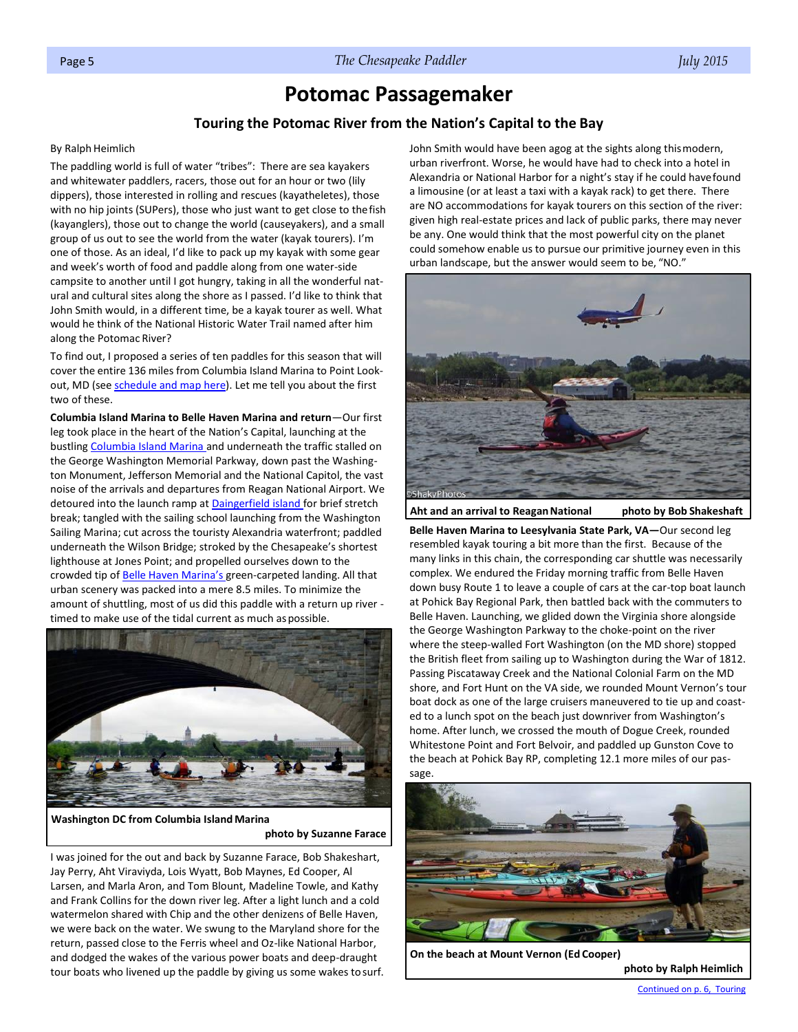## **Potomac Passagemaker**

## **Touring the Potomac River from the Nation's Capital to the Bay**

## <span id="page-0-0"></span>By Ralph Heimlich

The paddling world is full of water "tribes": There are sea kayakers and whitewater paddlers, racers, those out for an hour or two (lily dippers), those interested in rolling and rescues (kayatheletes), those with no hip joints (SUPers), those who just want to get close to thefish (kayanglers), those out to change the world (causeyakers), and a small group of us out to see the world from the water (kayak tourers). I'm one of those. As an ideal, I'd like to pack up my kayak with some gear and week's worth of food and paddle along from one water-side campsite to another until I got hungry, taking in all the wonderful natural and cultural sites along the shore as I passed. I'd like to think that John Smith would, in a different time, be a kayak tourer as well. What would he think of the National Historic Water Trail named after him along the Potomac River?

To find out, I proposed a series of ten paddles for this season that will cover the entire 136 miles from Columbia Island Marina to Point Lookout, MD (see [schedule and map here\).](http://aceheimlich.com/CPA/Potomac%20Passage%20Maker%20Tour%20Preliminary%20Itinerary%202_4_2015.pdf) Let me tell you about the first two of these.

**Columbia Island Marina to Belle Haven Marina and return**—Our first leg took place in the heart of the Nation's Capital, launching at the bustlin[g Columbia Island Marina a](http://www.columbiaisland.com/)nd underneath the traffic stalled on the George Washington Memorial Parkway, down past the Washington Monument, Jefferson Memorial and the National Capitol, the vast noise of the arrivals and departures from Reagan National Airport. We detoured into the launch ramp a[t Daingerfield island f](http://www.riverexplorer.com/details.php4?id=347)or brief stretch break; tangled with the sailing school launching from the Washington Sailing Marina; cut across the touristy Alexandria waterfront; paddled underneath the Wilson Bridge; stroked by the Chesapeake's shortest lighthouse at Jones Point; and propelled ourselves down to the crowded tip of [Belle Haven Marina](http://www.saildc.com/about-the-marina)'s green-carpeted landing. All that urban scenery was packed into a mere 8.5 miles. To minimize the amount of shuttling, most of us did this paddle with a return up river timed to make use of the tidal current as much aspossible.



**Washington DC from Columbia IslandMarina photo by Suzanne Farace**

I was joined for the out and back by Suzanne Farace, Bob Shakeshart, Jay Perry, Aht Viraviyda, Lois Wyatt, Bob Maynes, Ed Cooper, Al Larsen, and Marla Aron, and Tom Blount, Madeline Towle, and Kathy and Frank Collins for the down river leg. After a light lunch and a cold watermelon shared with Chip and the other denizens of Belle Haven, we were back on the water. We swung to the Maryland shore for the return, passed close to the Ferris wheel and Oz-like National Harbor, and dodged the wakes of the various power boats and deep-draught tour boats who livened up the paddle by giving us some wakes tosurf. John Smith would have been agog at the sights along thismodern, urban riverfront. Worse, he would have had to check into a hotel in Alexandria or National Harbor for a night's stay if he could havefound a limousine (or at least a taxi with a kayak rack) to get there. There are NO accommodations for kayak tourers on this section of the river: given high real-estate prices and lack of public parks, there may never be any. One would think that the most powerful city on the planet could somehow enable us to pursue our primitive journey even in this urban landscape, but the answer would seem to be, "NO."



**Aht and an arrival to ReaganNational photo by Bob Shakeshaft**

**Belle Haven Marina to Leesylvania State Park, VA—**Our second leg resembled kayak touring a bit more than the first. Because of the many links in this chain, the corresponding car shuttle was necessarily complex. We endured the Friday morning traffic from Belle Haven down busy Route 1 to leave a couple of cars at the car-top boat launch at Pohick Bay Regional Park, then battled back with the commuters to Belle Haven. Launching, we glided down the Virginia shore alongside the George Washington Parkway to the choke-point on the river where the steep-walled Fort Washington (on the MD shore) stopped the British fleet from sailing up to Washington during the War of 1812. Passing Piscataway Creek and the National Colonial Farm on the MD shore, and Fort Hunt on the VA side, we rounded Mount Vernon's tour boat dock as one of the large cruisers maneuvered to tie up and coasted to a lunch spot on the beach just downriver from Washington's home. After lunch, we crossed the mouth of Dogue Creek, rounded Whitestone Point and Fort Belvoir, and paddled up Gunston Cove to the beach at Pohick Bay RP, completing 12.1 more miles of our passage.



**On the beach at Mount Vernon (Ed Cooper)**

**photo by Ralph Heimlich**